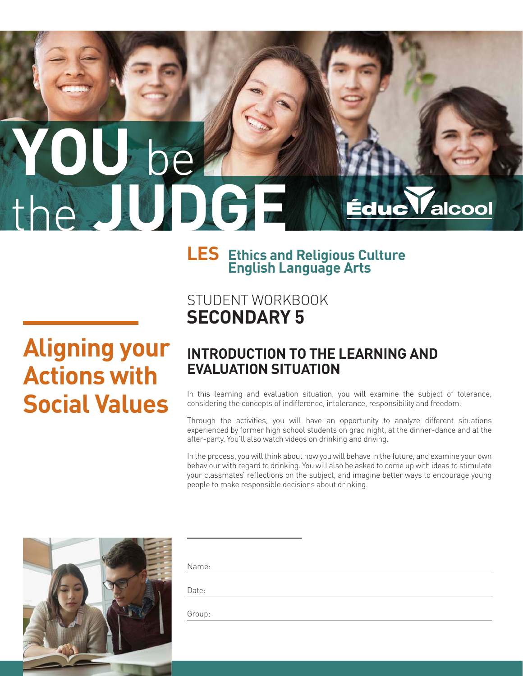# **YOU** be the **JUDGE** Éduc Valcool

# **LES Ethics and Religious Culture English Language Arts**

# **Aligning your Actions with Social Values**

# STUDENT WORKBOOK **SECONDARY 5**

## **INTRODUCTION TO THE LEARNING AND EVALUATION SITUATION**

In this learning and evaluation situation, you will examine the subject of tolerance, considering the concepts of indifference, intolerance, responsibility and freedom.

Through the activities, you will have an opportunity to analyze different situations experienced by former high school students on grad night, at the dinner-dance and at the after-party. You'll also watch videos on drinking and driving.

In the process, you will think about how you will behave in the future, and examine your own behaviour with regard to drinking. You will also be asked to come up with ideas to stimulate your classmates' reflections on the subject, and imagine better ways to encourage young people to make responsible decisions about drinking.



|  | $\sim$ |
|--|--------|

Date:

Group: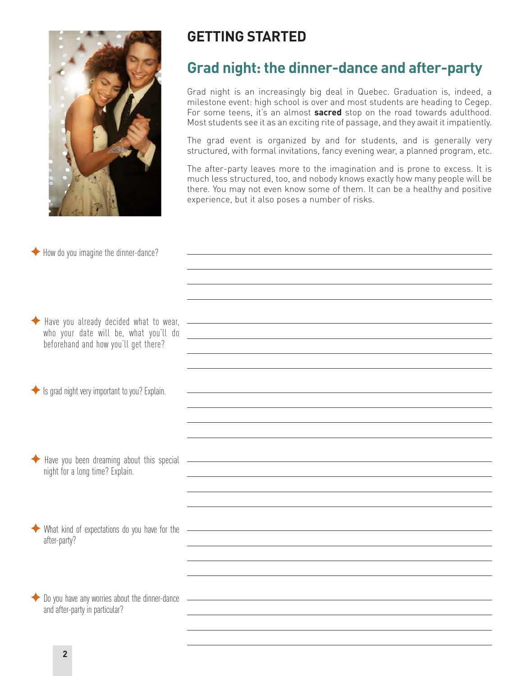

## **GETTING STARTED**

# **Grad night: the dinner-dance and after-party**

Grad night is an increasingly big deal in Quebec. Graduation is, indeed, a milestone event: high school is over and most students are heading to Cegep. For some teens, it's an almost **sacred** stop on the road towards adulthood. Most students see it as an exciting rite of passage, and they await it impatiently.

The grad event is organized by and for students, and is generally very structured, with formal invitations, fancy evening wear, a planned program, etc.

The after-party leaves more to the imagination and is prone to excess. It is much less structured, too, and nobody knows exactly how many people will be there. You may not even know some of them. It can be a healthy and positive experience, but it also poses a number of risks.

| ◆ How do you imagine the dinner-dance?                                             |                                                                                                                                                                                                                               |
|------------------------------------------------------------------------------------|-------------------------------------------------------------------------------------------------------------------------------------------------------------------------------------------------------------------------------|
|                                                                                    |                                                                                                                                                                                                                               |
|                                                                                    |                                                                                                                                                                                                                               |
|                                                                                    |                                                                                                                                                                                                                               |
|                                                                                    |                                                                                                                                                                                                                               |
| Have you already decided what to wear,                                             | <u> 1999 - Johann Harry Harry Harry Harry Harry Harry Harry Harry Harry Harry Harry Harry Harry Harry Harry Harry</u>                                                                                                         |
| who your date will be, what you'll do<br>beforehand and how you'll get there?      | <u> 1989 - Johann Barn, mars et al. (b. 1989)</u>                                                                                                                                                                             |
|                                                                                    |                                                                                                                                                                                                                               |
|                                                                                    |                                                                                                                                                                                                                               |
|                                                                                    |                                                                                                                                                                                                                               |
| Solis grad night very important to you? Explain.                                   |                                                                                                                                                                                                                               |
|                                                                                    |                                                                                                                                                                                                                               |
|                                                                                    |                                                                                                                                                                                                                               |
|                                                                                    |                                                                                                                                                                                                                               |
| Have you been dreaming about this special                                          | <u> 1989 - Johann Stoff, amerikansk politiker (* 1908)</u>                                                                                                                                                                    |
| night for a long time? Explain.                                                    |                                                                                                                                                                                                                               |
|                                                                                    |                                                                                                                                                                                                                               |
|                                                                                    |                                                                                                                                                                                                                               |
|                                                                                    |                                                                                                                                                                                                                               |
| What kind of expectations do you have for the                                      | the control of the control of the control of the control of the control of the control of the control of the control of the control of the control of the control of the control of the control of the control of the control |
| after-party?                                                                       |                                                                                                                                                                                                                               |
|                                                                                    |                                                                                                                                                                                                                               |
|                                                                                    |                                                                                                                                                                                                                               |
|                                                                                    |                                                                                                                                                                                                                               |
| ◆ Do you have any worries about the dinner-dance<br>and after-party in particular? | the control of the control of the control of the control of the control of the control of the control of the control of the control of the control of the control of the control of the control of the control of the control |
|                                                                                    |                                                                                                                                                                                                                               |
|                                                                                    |                                                                                                                                                                                                                               |
|                                                                                    |                                                                                                                                                                                                                               |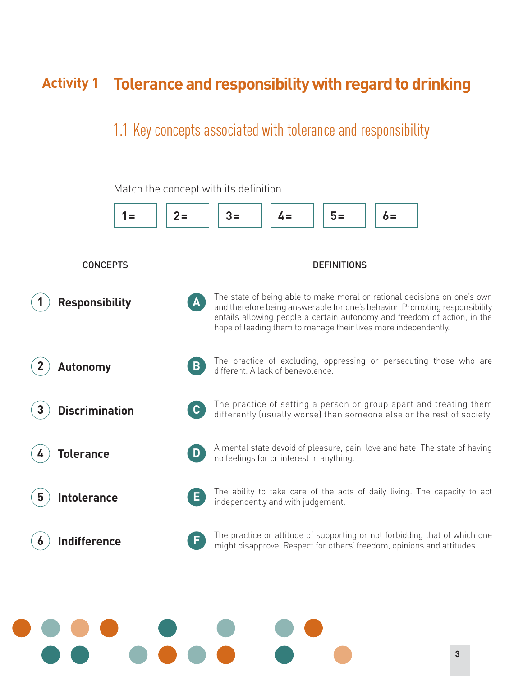# **Activity 1 Tolerance and responsibility with regard to drinking**

# 1.1 Key concepts associated with tolerance and responsibility

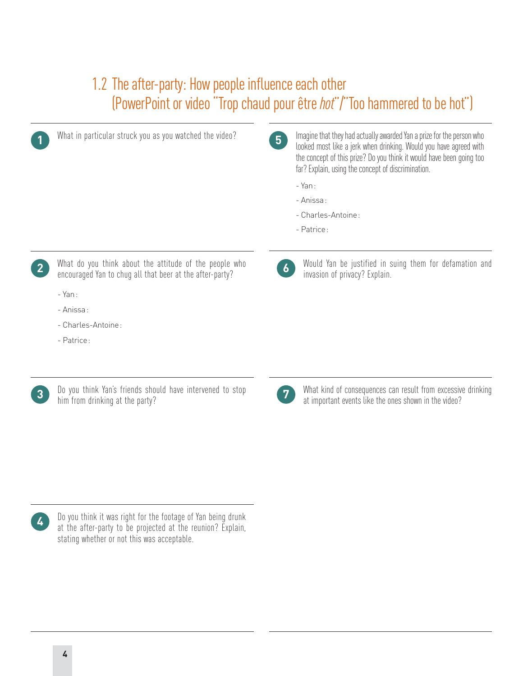# 1.2 The after-party: How people influence each other (PowerPoint or video "Trop chaud pour être *hot*"/"Too hammered to be hot")

| 5 <sup>5</sup><br>looked most like a jerk when drinking. Would you have agreed with<br>the concept of this prize? Do you think it would have been going too<br>far? Explain, using the concept of discrimination.                                    |  |
|------------------------------------------------------------------------------------------------------------------------------------------------------------------------------------------------------------------------------------------------------|--|
| $-Yan:$                                                                                                                                                                                                                                              |  |
| - Anissa:                                                                                                                                                                                                                                            |  |
| - Charles-Antoine:                                                                                                                                                                                                                                   |  |
| - Patrice:                                                                                                                                                                                                                                           |  |
|                                                                                                                                                                                                                                                      |  |
| Would Yan be justified in suing them for defamation and<br>What do you think about the attitude of the people who<br>2 <sup>1</sup><br>$\boldsymbol{6}$<br>encouraged Yan to chug all that beer at the after-party?<br>invasion of privacy? Explain. |  |
| $-$ Yan:                                                                                                                                                                                                                                             |  |
| - Anissa:                                                                                                                                                                                                                                            |  |
| - Charles-Antoine:                                                                                                                                                                                                                                   |  |
| - Patrice:                                                                                                                                                                                                                                           |  |
|                                                                                                                                                                                                                                                      |  |



**3** Do you think Yan's friends should have intervened to stop him from drinking at the party?

| I<br>٩<br>. . |  |
|---------------|--|

What kind of consequences can result from excessive drinking at important events like the ones shown in the video? **<sup>7</sup>**

Do you think it was right for the footage of Yan being drunk at the after-party to be projected at the reunion? Explain, stating whether or not this was acceptable.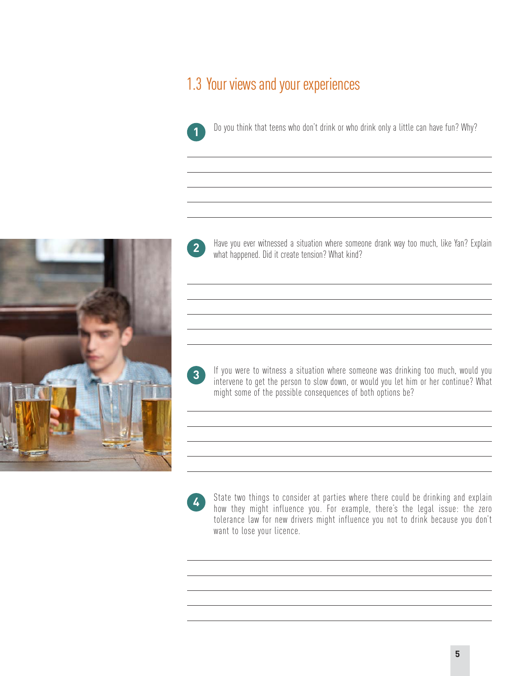# 1.3 Your views and your experiences



Do you think that teens who don't drink or who drink only a little can have fun? Why? **1**



Have you ever witnessed a situation where someone drank way too much, like Yan? Explain **2** Have you ever witnessed a situation where somed<br>what happened. Did it create tension? What kind?

If you were to witness a situation where someone was drinking too much, would you intervene to get the person to slow down, or would you let him or her continue? What might some of the possible consequences of both options be? **3**

**4**

State two things to consider at parties where there could be drinking and explain how they might influence you. For example, there's the legal issue: the zero tolerance law for new drivers might influence you not to drink because you don't want to lose your licence.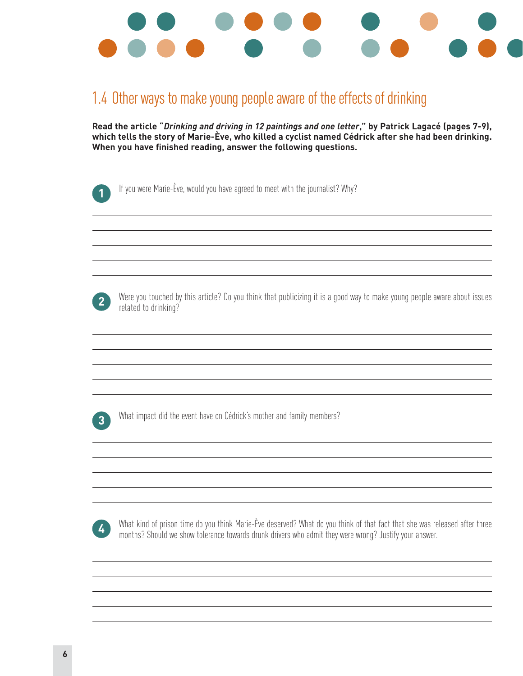

# 1.4 Other ways to make young people aware of the effects of drinking

**Read the article "***Drinking and driving in 12 paintings and one letter***," by Patrick Lagacé (pages 7-9), which tells the story of Marie-Ève, who killed a cyclist named Cédrick after she had been drinking. When you have finished reading, answer the following questions.**

If you were Marie-Ève, would you have agreed to meet with the journalist? Why?

Were you touched by this article? Do you think that publicizing it is a good way to make young people aware about issues **2** Were you toucned by<br>**2** related to drinking?

What impact did the event have on Cédrick's mother and family members? **3**

What kind of prison time do you think Marie-Ève deserved? What do you think of that fact that she was released after three months? Should we show tolerance towards drunk drivers who admit they were wrong? Justify your answer. **<sup>4</sup>**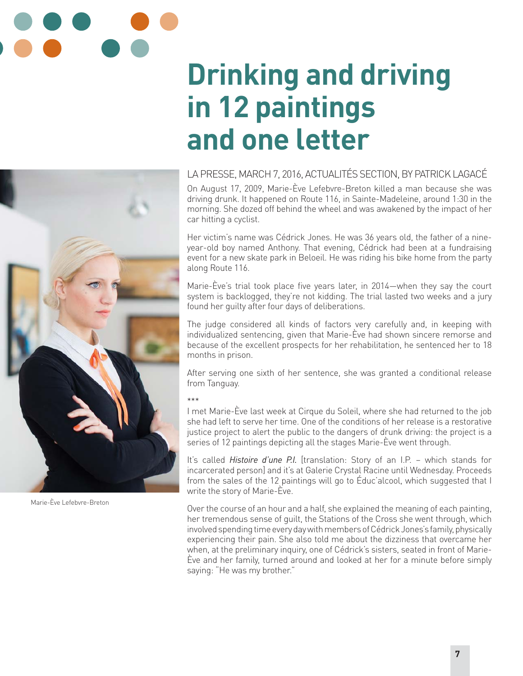# **Drinking and driving in 12 paintings and one letter**

### LA PRESSE, MARCH 7, 2016, ACTUALITÉS SECTION, BY PATRICK LAGACÉ

On August 17, 2009, Marie-Ève Lefebvre-Breton killed a man because she was driving drunk. It happened on Route 116, in Sainte-Madeleine, around 1:30 in the morning. She dozed off behind the wheel and was awakened by the impact of her car hitting a cyclist.

Her victim's name was Cédrick Jones. He was 36 years old, the father of a nineyear-old boy named Anthony. That evening, Cédrick had been at a fundraising event for a new skate park in Beloeil. He was riding his bike home from the party along Route 116.

Marie-Ève's trial took place five years later, in 2014—when they say the court system is backlogged, they're not kidding. The trial lasted two weeks and a jury found her guilty after four days of deliberations.

The judge considered all kinds of factors very carefully and, in keeping with individualized sentencing, given that Marie-Ève had shown sincere remorse and because of the excellent prospects for her rehabilitation, he sentenced her to 18 months in prison.

After serving one sixth of her sentence, she was granted a conditional release from Tanguay.

#### \*\*\*

I met Marie-Ève last week at Cirque du Soleil, where she had returned to the job she had left to serve her time. One of the conditions of her release is a restorative justice project to alert the public to the dangers of drunk driving: the project is a series of 12 paintings depicting all the stages Marie-Ève went through.

It's called *Histoire d'une P.I.* [translation: Story of an I.P. – which stands for incarcerated person] and it's at Galerie Crystal Racine until Wednesday. Proceeds from the sales of the 12 paintings will go to Éduc'alcool, which suggested that I write the story of Marie-Ève.

Over the course of an hour and a half, she explained the meaning of each painting, her tremendous sense of guilt, the Stations of the Cross she went through, which involved spending time every day with members of Cédrick Jones's family, physically experiencing their pain. She also told me about the dizziness that overcame her when, at the preliminary inquiry, one of Cédrick's sisters, seated in front of Marie-Ève and her family, turned around and looked at her for a minute before simply saying: "He was my brother."



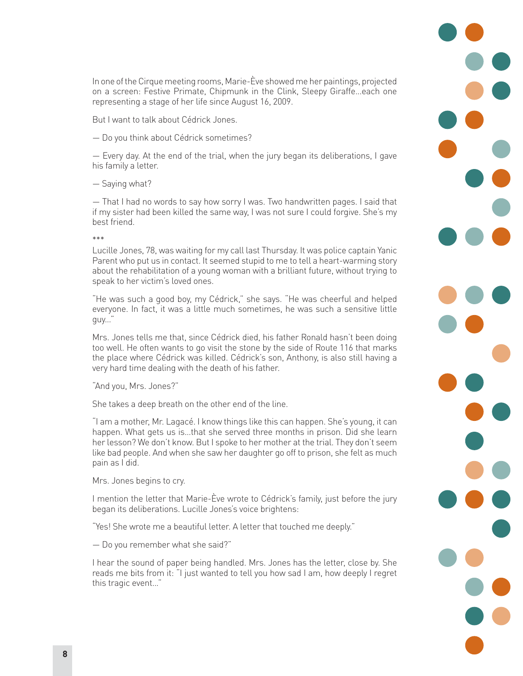In one of the Cirque meeting rooms, Marie-Ève showed me her paintings, projected on a screen: Festive Primate, Chipmunk in the Clink, Sleepy Giraffe…each one representing a stage of her life since August 16, 2009.

But I want to talk about Cédrick Jones.

— Do you think about Cédrick sometimes?

— Every day. At the end of the trial, when the jury began its deliberations, I gave his family a letter.

— Saying what?

— That I had no words to say how sorry I was. Two handwritten pages. I said that if my sister had been killed the same way, I was not sure I could forgive. She's my best friend.

\*\*\*

Lucille Jones, 78, was waiting for my call last Thursday. It was police captain Yanic Parent who put us in contact. It seemed stupid to me to tell a heart-warming story about the rehabilitation of a young woman with a brilliant future, without trying to speak to her victim's loved ones.

"He was such a good boy, my Cédrick," she says. "He was cheerful and helped everyone. In fact, it was a little much sometimes, he was such a sensitive little guy…"

Mrs. Jones tells me that, since Cédrick died, his father Ronald hasn't been doing too well. He often wants to go visit the stone by the side of Route 116 that marks the place where Cédrick was killed. Cédrick's son, Anthony, is also still having a very hard time dealing with the death of his father.

"And you, Mrs. Jones?"

She takes a deep breath on the other end of the line.

"I am a mother, Mr. Lagacé. I know things like this can happen. She's young, it can happen. What gets us is…that she served three months in prison. Did she learn her lesson? We don't know. But I spoke to her mother at the trial. They don't seem like bad people. And when she saw her daughter go off to prison, she felt as much pain as I did.

Mrs. Jones begins to cry.

I mention the letter that Marie-Ève wrote to Cédrick's family, just before the jury began its deliberations. Lucille Jones's voice brightens:

"Yes! She wrote me a beautiful letter. A letter that touched me deeply."

— Do you remember what she said?"

I hear the sound of paper being handled. Mrs. Jones has the letter, close by. She reads me bits from it: "I just wanted to tell you how sad I am, how deeply I regret this tragic event…"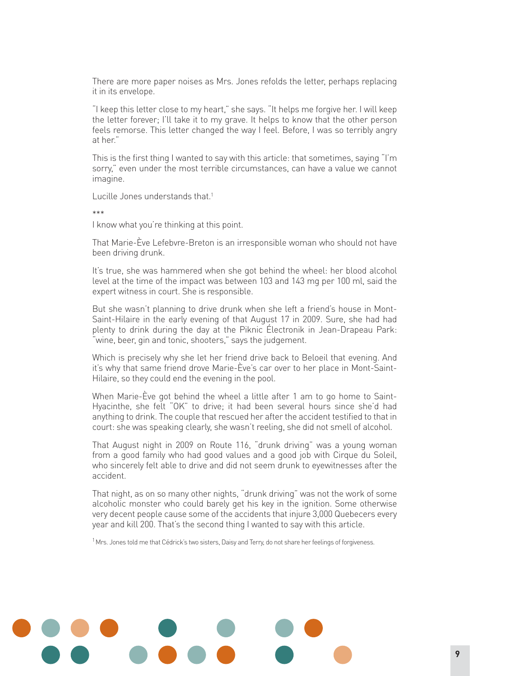There are more paper noises as Mrs. Jones refolds the letter, perhaps replacing it in its envelope.

"I keep this letter close to my heart," she says. "It helps me forgive her. I will keep the letter forever; I'll take it to my grave. It helps to know that the other person feels remorse. This letter changed the way I feel. Before, I was so terribly angry at her."

This is the first thing I wanted to say with this article: that sometimes, saying "I'm sorry," even under the most terrible circumstances, can have a value we cannot imagine.

Lucille Jones understands that.<sup>1</sup>

\*\*\*

I know what you're thinking at this point.

That Marie-Ève Lefebvre-Breton is an irresponsible woman who should not have been driving drunk.

It's true, she was hammered when she got behind the wheel: her blood alcohol level at the time of the impact was between 103 and 143 mg per 100 ml, said the expert witness in court. She is responsible.

But she wasn't planning to drive drunk when she left a friend's house in Mont-Saint-Hilaire in the early evening of that August 17 in 2009. Sure, she had had plenty to drink during the day at the Piknic Électronik in Jean-Drapeau Park: "wine, beer, gin and tonic, shooters," says the judgement.

Which is precisely why she let her friend drive back to Beloeil that evening. And it's why that same friend drove Marie-Ève's car over to her place in Mont-Saint-Hilaire, so they could end the evening in the pool.

When Marie-Ève got behind the wheel a little after 1 am to go home to Saint-Hyacinthe, she felt "OK" to drive; it had been several hours since she'd had anything to drink. The couple that rescued her after the accident testified to that in court: she was speaking clearly, she wasn't reeling, she did not smell of alcohol.

That August night in 2009 on Route 116, "drunk driving" was a young woman from a good family who had good values and a good job with Cirque du Soleil, who sincerely felt able to drive and did not seem drunk to eyewitnesses after the accident.

That night, as on so many other nights, "drunk driving" was not the work of some alcoholic monster who could barely get his key in the ignition. Some otherwise very decent people cause some of the accidents that injure 3,000 Quebecers every year and kill 200. That's the second thing I wanted to say with this article.

 $1$ Mrs. Jones told me that Cédrick's two sisters, Daisy and Terry, do not share her feelings of forgiveness.

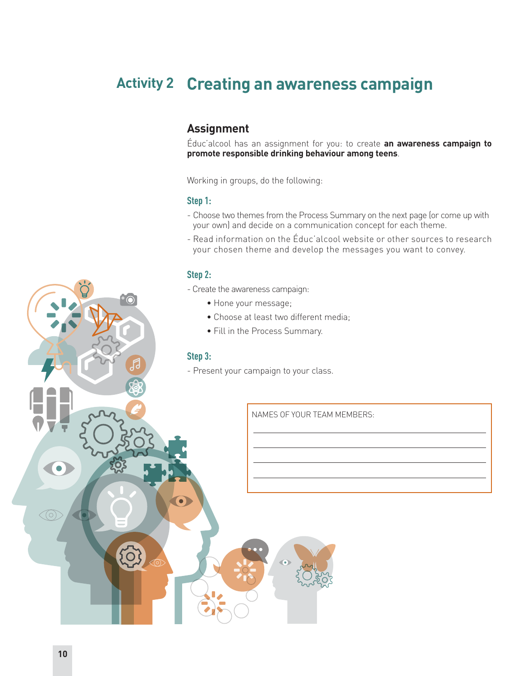# **Creating an awareness campaign Activity 2**

## **Assignment**

Éduc'alcool has an assignment for you: to create **an awareness campaign to promote responsible drinking behaviour among teens**.

Working in groups, do the following:

#### **Step 1:**

- Choose two themes from the Process Summary on the next page (or come up with your own) and decide on a communication concept for each theme.
- Read information on the Éduc'alcool website or other sources to research your chosen theme and develop the messages you want to convey.

#### **Step 2:**

- Create the awareness campaign:
	- Hone your message;
	- Choose at least two different media;
	- Fill in the Process Summary.

#### **Step 3:**

 $\bullet$ 

- Present your campaign to your class.

NAMES OF YOUR TEAM MEMBERS:

 $\bullet$ 

 $\sigma$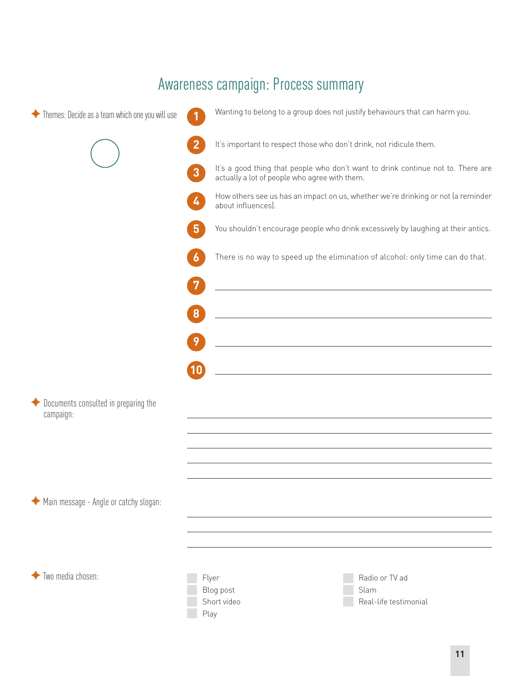# Awareness campaign: Process summary

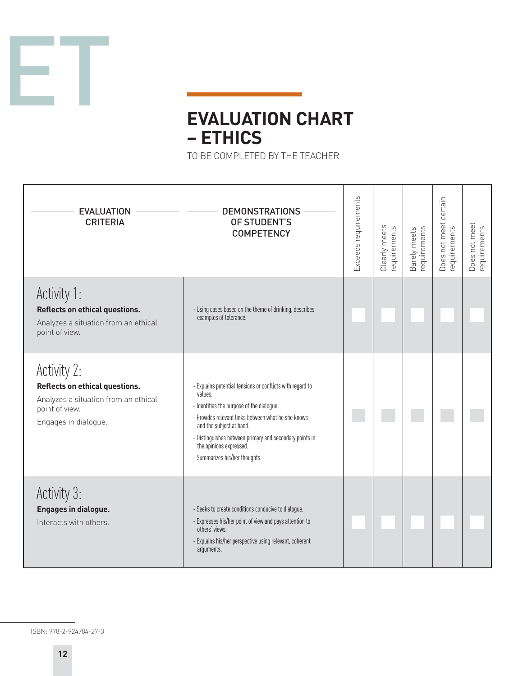

# **EVALUATION CHART – ETHICS**

TO BE COMPLETED BY THE TEACHER

| <b>EVALUATION</b><br><b>CRITERIA</b>                                                                                            | <b>DEMONSTRATIONS</b><br>OF STUDENT'S<br><b>COMPETENCY</b>                                                                                                                                                                                                                                                                   | Exceeds requirements | Clearly meets<br>requirements | requirements<br>Barely meets | certain<br>Does not meet<br>requirements | Does not meet<br>equirements |
|---------------------------------------------------------------------------------------------------------------------------------|------------------------------------------------------------------------------------------------------------------------------------------------------------------------------------------------------------------------------------------------------------------------------------------------------------------------------|----------------------|-------------------------------|------------------------------|------------------------------------------|------------------------------|
| Activity 1:<br>Reflects on ethical questions.<br>Analyzes a situation from an ethical<br>point of view.                         | - Using cases based on the theme of drinking, describes<br>examples of tolerance.                                                                                                                                                                                                                                            |                      |                               |                              |                                          |                              |
| Activity 2:<br>Reflects on ethical questions.<br>Analyzes a situation from an ethical<br>point of view.<br>Engages in dialogue. | - Explains potential tensions or conflicts with regard to<br>values.<br>- Identifies the purpose of the dialogue.<br>- Provides relevant links between what he she knows<br>and the subject at hand.<br>- Distinguishes between primary and secondary points in<br>the opinions expressed.<br>- Summarizes his/her thoughts. |                      |                               |                              |                                          |                              |
| Activity 3:<br>Engages in dialogue.<br>Interacts with others.                                                                   | - Seeks to create conditions conducive to dialogue.<br>- Expresses his/her point of view and pays attention to<br>others' views.<br>- Explains his/her perspective using relevant, coherent<br>arguments.                                                                                                                    |                      |                               |                              |                                          |                              |

ISBN: 978-2-924784-27-3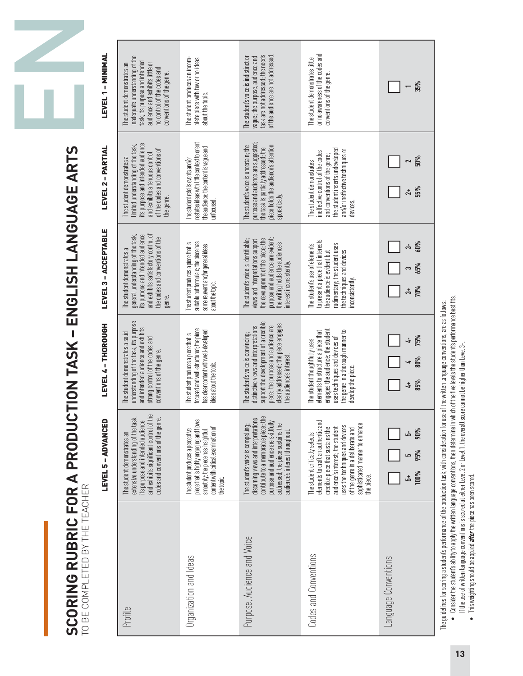EN

# SCORING RUBRIC FOR A PRODUCTION TASK - ENGLISH LANGUAGE ARTS **SCORING RUBRIC FOR A PRODUCTION TASK – ENGLISH LANGUAGE ARTS** TO BE COMPLETED BY THE TEACHER

|                               | <b>LEVEL 5 - ADVANCED</b>                                                                                                                                                                                                                                            | <b>LEVEL4-THOROUGH</b>                                                                                                                                                                                                         | LEVEL 3 - ACCEPTABLE                                                                                                                                                                                               | LEVEL 2 - PARTIAL                                                                                                                                                                        | <b>LEVEL 1 - MINIMAL</b>                                                                                                                                                                        |
|-------------------------------|----------------------------------------------------------------------------------------------------------------------------------------------------------------------------------------------------------------------------------------------------------------------|--------------------------------------------------------------------------------------------------------------------------------------------------------------------------------------------------------------------------------|--------------------------------------------------------------------------------------------------------------------------------------------------------------------------------------------------------------------|------------------------------------------------------------------------------------------------------------------------------------------------------------------------------------------|-------------------------------------------------------------------------------------------------------------------------------------------------------------------------------------------------|
| Profile                       | and exhibits significant control of the<br>extensive understanding of the task,<br>codes and conventions of the genre.<br>its purpose and intended audience<br>The student demonstrates an                                                                           | understanding of the task, its purpose<br>and intended audience and exhibits<br>The student demonstrates a solid<br>strong control of the codes and<br>conventions of the genre.                                               | and exhibits satisfactory control of<br>ts purpose and intended audience<br>general understanding of the task,<br>the codes and conventions of the<br>The student demonstrates a<br>genre.                         | its purpose and intended audience<br>limited understanding of the task,<br>of the codes and conventions of<br>and exhibits a tenuous control<br>The student demonstrates a<br>the genre. | inadequate understanding of the<br>task, its purpose and intended<br>audience and exhibits little or<br>The student demonstrates an<br>no control of the codes and<br>conventions of the genre. |
| <b>Urganization and Ideas</b> | piece that is highly engaging and flows<br>content with critical examination of<br>The student produces a perceptive<br>smoothly, the piece has insightful<br>the topic.                                                                                             | focused and well-structured; the piece<br>has clear content with well-developed<br>The student produces a piece that is<br>deas about the topic.                                                                               | suitable but formulaic; the piece has<br>The student produces a piece that is<br>some relevant and/or general ideas<br>about the topic.                                                                            | restates ideas with little context to orient<br>the audience; the content is vague and<br>The student retells events and/or<br>uupcrised                                                 | The student produces an incom-<br>plete piece with few or no ideas<br>about the topic.                                                                                                          |
| Purpose, Audience and Voice   | discerning views and interpretations<br>contribute to a memorable piece; the<br>addressed; the piece sustains the<br>purpose and audience are skillfull<br>The student's voice is compelling;<br>audience's interest throughout.                                     | support the development of a credible<br>clearly addressed; the piece engages<br>distinctive views and interpretations<br>biece; the purpose and audience are<br>The student's voice is convincing;<br>the audience's interest | purpose and audience are evident;<br>the development of the piece; the<br>The student's voice is identifiable;<br>views and interpretations support<br>the writing holds the audience's<br>interest inconsistently | ourpose and audience are suggested<br>The student's voice is uncertain; the<br>biece holds the audience's attention<br>the task is partially addressed; the<br>sporadically              | task are not addressed; the needs<br>of the audience are not addressed<br>The student's voice is indistinct or<br>vague; the purpose, audience and                                              |
| Codes and Conventions         | elements to craft an authentic and<br>sophisticated manner to enhance<br>uses the techniques and devices<br>credible piece that sustains the<br>audience's interest; the student<br>of the genre in a deliberate and<br>The student critically selects<br>the piece. | engages the audience; the student<br>the genre in a thorough manner to<br>elements to structure a piece that<br>uses techniques and devices of<br>The student thoughtfully uses<br>develop the piece                           | to present a piece that interests<br>rudimentary; the student uses<br>The student's use of elements<br>the audience is evident but<br>the techniques and devices<br>nconsistently                                  | the student inserts undeveloped<br>and/or ineffective techniques or<br>ineffective control of the codes<br>and conventions of the genre;<br>The student demonstrates<br>devices.         | or no awareness of the codes and<br>The student demonstrates little<br>conventions of the genre.                                                                                                |
| Language Conventions          | უ მა<br>95%<br>cu<br>100%<br>ر<br>م                                                                                                                                                                                                                                  | 75%<br>85%<br>$\ddot{ }$                                                                                                                                                                                                       | 60%<br>مه<br>65%<br>70%<br>ఉ                                                                                                                                                                                       | 50%<br>$\sim$<br>55%<br>t <sub>1</sub>                                                                                                                                                   | 35%<br>$\overline{\phantom{0}}$                                                                                                                                                                 |

The guidelines for scoring a student's performance of the production task, with consideration for use of the written language conventions, are as follows: The guidelines for scoring a student's performance of the production task, with consideration for use of the written language conventions, are as follows:

- Consider the student's ability to apply the written language conventions, then determine in which of the five levels the student's performance best fits.  $\bullet$  Consider the student's ability to apply the written language conventions, then determine in which of the five levels the student's performance best fits. If the use of written language conventions is scored at either Level 2 or Level 1, the overall score cannot be higher than Level 3-. If the use of written language conventions is scored at either Level 2 or Level 1, the overall score cannot be higher than Level 3-.
	- This weighting should be applied **after** the piece has been scored. • This weighting should be applied *after* the piece has been scored.